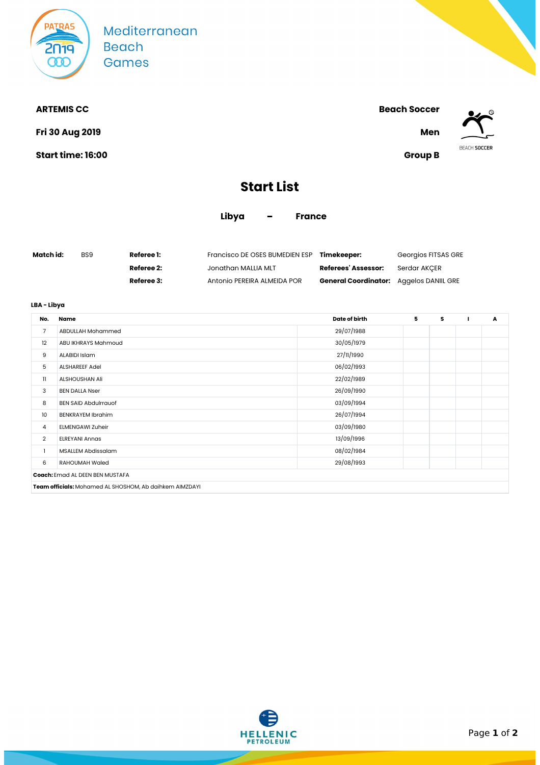

Mediterranean **Beach Games** 

**Fri 30 Aug 2019 Men**

**Start time: 16:00 Group B**



**ARTEMIS CC Beach Soccer**



## **Start List**

**Libya - France**

| Match id: | BS9 | <b>Referee 1:</b> | Francisco DE OSES BUMEDIEN ESP | Timekeeper:                                    | Georgios FITSAS GRE |
|-----------|-----|-------------------|--------------------------------|------------------------------------------------|---------------------|
|           |     | Referee 2:        | Jonathan MALLIA MLT            | <b>Referees' Assessor:</b>                     | Serdar AKCER        |
|           |     | Referee 3:        | Antonio PEREIRA ALMEIDA POR    | <b>General Coordinator:</b> Aggelos DANIIL GRE |                     |

## **LBA - Libya**

| No.                                                     | Name                                   | Date of birth | 5 | s |  | Α |  |
|---------------------------------------------------------|----------------------------------------|---------------|---|---|--|---|--|
| 7                                                       | <b>ABDULLAH Mohammed</b>               | 29/07/1988    |   |   |  |   |  |
| 12                                                      | ABU IKHRAYS Mahmoud                    | 30/05/1979    |   |   |  |   |  |
| 9                                                       | ALABIDI Islam                          | 27/11/1990    |   |   |  |   |  |
| 5                                                       | <b>ALSHAREEF Adel</b>                  | 06/02/1993    |   |   |  |   |  |
| 11                                                      | ALSHOUSHAN Ali                         | 22/02/1989    |   |   |  |   |  |
| 3                                                       | <b>BEN DALLA Nser</b>                  | 26/09/1990    |   |   |  |   |  |
| 8                                                       | <b>BEN SAID Abdulrrauof</b>            | 03/09/1994    |   |   |  |   |  |
| 10                                                      | <b>BENKRAYEM Ibrahim</b>               | 26/07/1994    |   |   |  |   |  |
| 4                                                       | <b>ELMENGAWI Zuheir</b>                | 03/09/1980    |   |   |  |   |  |
| $\overline{2}$                                          | <b>ELREYANI Annas</b>                  | 13/09/1996    |   |   |  |   |  |
|                                                         | MSALLEM Abdissalam                     | 08/02/1984    |   |   |  |   |  |
| 6                                                       | RAHOUMAH Waled                         | 29/08/1993    |   |   |  |   |  |
|                                                         | <b>Coach:</b> Emad AL DEEN BEN MUSTAFA |               |   |   |  |   |  |
| Team officials: Mohamed AL SHOSHOM, Ab daihkem AIMZDAYI |                                        |               |   |   |  |   |  |